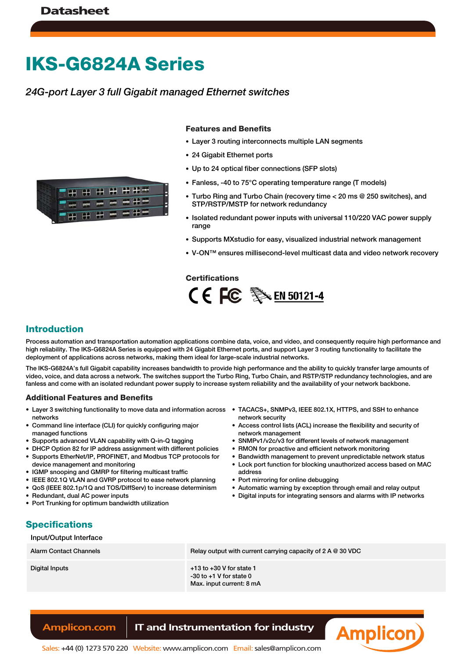# **IKS-G6824A Series**

## *24G-port Layer 3 full Gigabit managed Ethernet switches*



#### **Features and Benefits**

- Layer 3 routing interconnects multiple LAN segments
- 24 Gigabit Ethernet ports
- Up to 24 optical fiber connections (SFP slots)
- Fanless, -40 to 75°C operating temperature range (T models)
- Turbo Ring and Turbo Chain (recovery time < 20 ms @ 250 switches), and STP/RSTP/MSTP for network redundancy
- Isolated redundant power inputs with universal 110/220 VAC power supply range
- Supports MXstudio for easy, visualized industrial network management
- V-ON™ ensures millisecond-level multicast data and video network recovery

#### **Certifications**



#### **Introduction**

Process automation and transportation automation applications combine data, voice, and video, and consequently require high performance and high reliability. The IKS-G6824A Series is equipped with 24 Gigabit Ethernet ports, and support Layer 3 routing functionality to facilitate the deployment of applications across networks, making them ideal for large-scale industrial networks.

The IKS-G6824A's full Gigabit capability increases bandwidth to provide high performance and the ability to quickly transfer large amounts of video, voice, and data across a network. The switches support the Turbo Ring, Turbo Chain, and RSTP/STP redundancy technologies, and are fanless and come with an isolated redundant power supply to increase system reliability and the availability of your network backbone.

#### **Additional Features and Benefits**

- Layer 3 switching functionality to move data and information across TACACS+, SNMPv3, IEEE 802.1X, HTTPS, and SSH to enhance networks
- Command line interface (CLI) for quickly configuring major managed functions
- Supports advanced VLAN capability with Q-in-Q tagging
- DHCP Option 82 for IP address assignment with different policies
- Supports EtherNet/IP, PROFINET, and Modbus TCP protocols for device management and monitoring
- IGMP snooping and GMRP for filtering multicast traffic
- IEEE 802.1Q VLAN and GVRP protocol to ease network planning
- QoS (IEEE 802.1p/1Q and TOS/DiffServ) to increase determinism
- Redundant, dual AC power inputs
- Port Trunking for optimum bandwidth utilization
- network security
- Access control lists (ACL) increase the flexibility and security of network management
- SNMPv1/v2c/v3 for different levels of network management
- RMON for proactive and efficient network monitoring
- Bandwidth management to prevent unpredictable network status
- Lock port function for blocking unauthorized access based on MAC address
- Port mirroring for online debugging
- Automatic warning by exception through email and relay output
- Digital inputs for integrating sensors and alarms with IP networks

## **Specifications**

#### Input/Output Interface

| Alarm Contact Channels | Relay output with current carrying capacity of $2 A @ 30 VDC$                           |
|------------------------|-----------------------------------------------------------------------------------------|
| Digital Inputs         | $+13$ to $+30$ V for state 1<br>$-30$ to $+1$ V for state 0<br>Max. input current: 8 mA |

## **Amplicon.com IT and Instrumentation for industry**

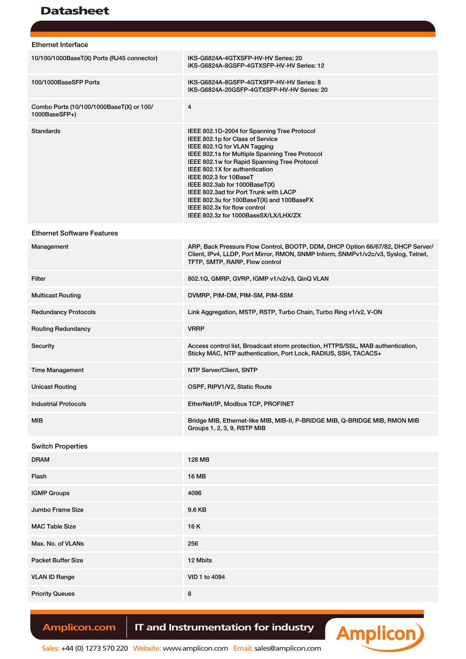# Datasheet

| <b>Ethernet Interface</b>                                 |                                                                                                                                                                                                                                                                                                                                                                                                                                                                               |
|-----------------------------------------------------------|-------------------------------------------------------------------------------------------------------------------------------------------------------------------------------------------------------------------------------------------------------------------------------------------------------------------------------------------------------------------------------------------------------------------------------------------------------------------------------|
| 10/100/1000BaseT(X) Ports (RJ45 connector)                | IKS-G6824A-4GTXSFP-HV-HV Series: 20<br>IKS-G6824A-8GSFP-4GTXSFP-HV-HV Series: 12                                                                                                                                                                                                                                                                                                                                                                                              |
| 100/1000BaseSFP Ports                                     | IKS-G6824A-8GSFP-4GTXSFP-HV-HV Series: 8<br>IKS-G6824A-20GSFP-4GTXSFP-HV-HV Series: 20                                                                                                                                                                                                                                                                                                                                                                                        |
| Combo Ports (10/100/1000BaseT(X) or 100/<br>1000BaseSFP+) | 4                                                                                                                                                                                                                                                                                                                                                                                                                                                                             |
| <b>Standards</b>                                          | IEEE 802.1D-2004 for Spanning Tree Protocol<br>IEEE 802.1p for Class of Service<br>IEEE 802.1Q for VLAN Tagging<br>IEEE 802.1s for Multiple Spanning Tree Protocol<br>IEEE 802.1w for Rapid Spanning Tree Protocol<br>IEEE 802.1X for authentication<br>IEEE 802.3 for 10BaseT<br>IEEE 802.3ab for 1000BaseT(X)<br>IEEE 802.3ad for Port Trunk with LACP<br>IEEE 802.3u for 100BaseT(X) and 100BaseFX<br>IEEE 802.3x for flow control<br>IEEE 802.3z for 1000BaseSX/LX/LHX/ZX |
| <b>Ethernet Software Features</b>                         |                                                                                                                                                                                                                                                                                                                                                                                                                                                                               |
| Management                                                | ARP, Back Pressure Flow Control, BOOTP, DDM, DHCP Option 66/67/82, DHCP Server/<br>Client, IPv4, LLDP, Port Mirror, RMON, SNMP Inform, SNMPv1/v2c/v3, Syslog, Telnet,<br>TFTP, SMTP, RARP, Flow control                                                                                                                                                                                                                                                                       |
| Filter                                                    | 802.1Q, GMRP, GVRP, IGMP v1/v2/v3, QinQ VLAN                                                                                                                                                                                                                                                                                                                                                                                                                                  |
| <b>Multicast Routing</b>                                  | DVMRP, PIM-DM, PIM-SM, PIM-SSM                                                                                                                                                                                                                                                                                                                                                                                                                                                |
| <b>Redundancy Protocols</b>                               | Link Aggregation, MSTP, RSTP, Turbo Chain, Turbo Ring v1/v2, V-ON                                                                                                                                                                                                                                                                                                                                                                                                             |
| <b>Routing Redundancy</b>                                 | <b>VRRP</b>                                                                                                                                                                                                                                                                                                                                                                                                                                                                   |
| Security                                                  | Access control list, Broadcast storm protection, HTTPS/SSL, MAB authentication,<br>Sticky MAC, NTP authentication, Port Lock, RADIUS, SSH, TACACS+                                                                                                                                                                                                                                                                                                                            |
| <b>Time Management</b>                                    | <b>NTP Server/Client, SNTP</b>                                                                                                                                                                                                                                                                                                                                                                                                                                                |
| Unicast Routing                                           | OSPF, RIPV1/V2, Static Route                                                                                                                                                                                                                                                                                                                                                                                                                                                  |
| <b>Industrial Protocols</b>                               | EtherNet/IP, Modbus TCP, PROFINET                                                                                                                                                                                                                                                                                                                                                                                                                                             |
| MIB                                                       | Bridge MIB, Ethernet-like MIB, MIB-II, P-BRIDGE MIB, Q-BRIDGE MIB, RMON MIB<br>Groups 1, 2, 3, 9, RSTP MIB                                                                                                                                                                                                                                                                                                                                                                    |
| <b>Switch Properties</b>                                  |                                                                                                                                                                                                                                                                                                                                                                                                                                                                               |
| <b>DRAM</b>                                               | 128 MB                                                                                                                                                                                                                                                                                                                                                                                                                                                                        |
| Flash                                                     | 16 MB                                                                                                                                                                                                                                                                                                                                                                                                                                                                         |
| <b>IGMP Groups</b>                                        | 4096                                                                                                                                                                                                                                                                                                                                                                                                                                                                          |
| Jumbo Frame Size                                          | 9.6 KB                                                                                                                                                                                                                                                                                                                                                                                                                                                                        |
| <b>MAC Table Size</b>                                     | 16K                                                                                                                                                                                                                                                                                                                                                                                                                                                                           |
| Max. No. of VLANs                                         | 256                                                                                                                                                                                                                                                                                                                                                                                                                                                                           |
| <b>Packet Buffer Size</b>                                 | 12 Mbits                                                                                                                                                                                                                                                                                                                                                                                                                                                                      |
| <b>VLAN ID Range</b>                                      | VID 1 to 4094                                                                                                                                                                                                                                                                                                                                                                                                                                                                 |
| <b>Priority Queues</b>                                    | 8                                                                                                                                                                                                                                                                                                                                                                                                                                                                             |

Amplicon.com | IT and Instrumentation for industry



Sales: +44 (0) 1273 570 220 Website: www.amplicon.com Email: sales@amplicon.com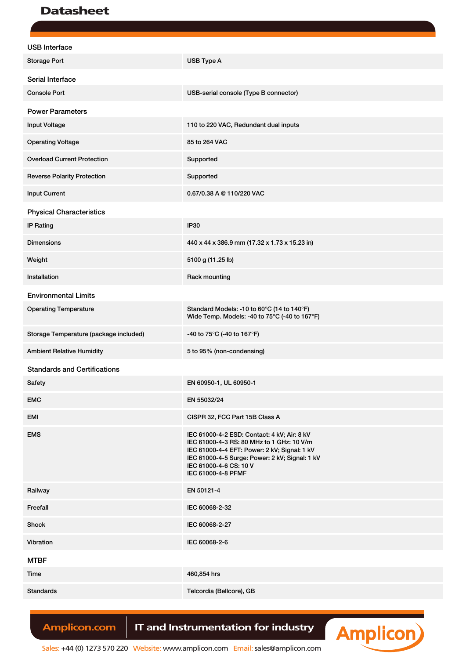# Datasheet

| <b>USB</b> Interface                   |                                                                                                                                                                                                                                            |
|----------------------------------------|--------------------------------------------------------------------------------------------------------------------------------------------------------------------------------------------------------------------------------------------|
| <b>Storage Port</b>                    | USB Type A                                                                                                                                                                                                                                 |
| Serial Interface                       |                                                                                                                                                                                                                                            |
| <b>Console Port</b>                    | USB-serial console (Type B connector)                                                                                                                                                                                                      |
| <b>Power Parameters</b>                |                                                                                                                                                                                                                                            |
| <b>Input Voltage</b>                   | 110 to 220 VAC, Redundant dual inputs                                                                                                                                                                                                      |
| <b>Operating Voltage</b>               | 85 to 264 VAC                                                                                                                                                                                                                              |
| <b>Overload Current Protection</b>     | Supported                                                                                                                                                                                                                                  |
| <b>Reverse Polarity Protection</b>     | Supported                                                                                                                                                                                                                                  |
| <b>Input Current</b>                   | 0.67/0.38 A @ 110/220 VAC                                                                                                                                                                                                                  |
| <b>Physical Characteristics</b>        |                                                                                                                                                                                                                                            |
| <b>IP Rating</b>                       | <b>IP30</b>                                                                                                                                                                                                                                |
| <b>Dimensions</b>                      | 440 x 44 x 386.9 mm (17.32 x 1.73 x 15.23 in)                                                                                                                                                                                              |
| Weight                                 | 5100 g (11.25 lb)                                                                                                                                                                                                                          |
| Installation                           | Rack mounting                                                                                                                                                                                                                              |
| <b>Environmental Limits</b>            |                                                                                                                                                                                                                                            |
| <b>Operating Temperature</b>           | Standard Models: -10 to 60°C (14 to 140°F)<br>Wide Temp. Models: -40 to 75°C (-40 to 167°F)                                                                                                                                                |
| Storage Temperature (package included) | -40 to 75°C (-40 to 167°F)                                                                                                                                                                                                                 |
| <b>Ambient Relative Humidity</b>       | 5 to 95% (non-condensing)                                                                                                                                                                                                                  |
| <b>Standards and Certifications</b>    |                                                                                                                                                                                                                                            |
| Safety                                 | EN 60950-1, UL 60950-1                                                                                                                                                                                                                     |
| <b>EMC</b>                             | EN 55032/24                                                                                                                                                                                                                                |
| EMI                                    | CISPR 32, FCC Part 15B Class A                                                                                                                                                                                                             |
| <b>EMS</b>                             | IEC 61000-4-2 ESD: Contact: 4 kV; Air: 8 kV<br>IEC 61000-4-3 RS: 80 MHz to 1 GHz: 10 V/m<br>IEC 61000-4-4 EFT: Power: 2 kV; Signal: 1 kV<br>IEC 61000-4-5 Surge: Power: 2 kV; Signal: 1 kV<br>IEC 61000-4-6 CS: 10 V<br>IEC 61000-4-8 PFMF |
| Railway                                | EN 50121-4                                                                                                                                                                                                                                 |
| Freefall                               | IEC 60068-2-32                                                                                                                                                                                                                             |
| Shock                                  | IEC 60068-2-27                                                                                                                                                                                                                             |
| Vibration                              | IEC 60068-2-6                                                                                                                                                                                                                              |
| <b>MTBF</b>                            |                                                                                                                                                                                                                                            |
| Time                                   | 460,854 hrs                                                                                                                                                                                                                                |
| <b>Standards</b>                       | Telcordia (Bellcore), GB                                                                                                                                                                                                                   |

Amplicon.com | IT and Instrumentation for industry



Sales: +44 (0) 1273 570 220 Website: www.amplicon.com Email: sales@amplicon.com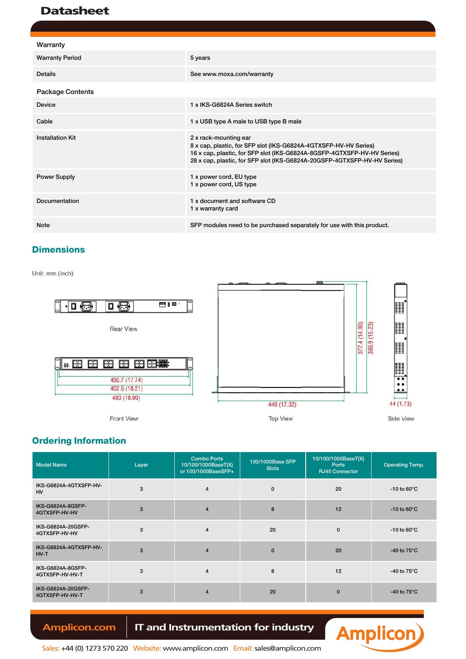# **Datasheet**

| Warranty                |                                                                                                                                                                                                                                                  |
|-------------------------|--------------------------------------------------------------------------------------------------------------------------------------------------------------------------------------------------------------------------------------------------|
| <b>Warranty Period</b>  | 5 years                                                                                                                                                                                                                                          |
| <b>Details</b>          | See www.moxa.com/warranty                                                                                                                                                                                                                        |
| <b>Package Contents</b> |                                                                                                                                                                                                                                                  |
| Device                  | 1 x IKS-G6824A Series switch                                                                                                                                                                                                                     |
| Cable                   | 1 x USB type A male to USB type B male                                                                                                                                                                                                           |
| <b>Installation Kit</b> | 2 x rack-mounting ear<br>8 x cap, plastic, for SFP slot (IKS-G6824A-4GTXSFP-HV-HV Series)<br>16 x cap, plastic, for SFP slot (IKS-G6824A-8GSFP-4GTXSFP-HV-HV Series)<br>28 x cap, plastic, for SFP slot (IKS-G6824A-20GSFP-4GTXSFP-HV-HV Series) |
| <b>Power Supply</b>     | 1 x power cord, EU type<br>1 x power cord, US type                                                                                                                                                                                               |
| Documentation           | 1 x document and software CD<br>1 x warranty card                                                                                                                                                                                                |
| <b>Note</b>             | SFP modules need to be purchased separately for use with this product.                                                                                                                                                                           |

## **Dimensions**

Unit: mm (inch)



## **Ordering Information**

| <b>Model Name</b>                     | Layer | <b>Combo Ports</b><br>10/100/1000BaseT(X)<br>or 100/1000BaseSFP+ | 100/1000Base SFP<br><b>Slots</b> | 10/100/1000BaseT(X)<br><b>Ports</b><br><b>RJ45 Connector</b> | <b>Operating Temp.</b>         |
|---------------------------------------|-------|------------------------------------------------------------------|----------------------------------|--------------------------------------------------------------|--------------------------------|
| IKS-G6824A-4GTXSFP-HV-<br><b>HV</b>   | 3     | $\overline{4}$                                                   | $\mathbf 0$                      | 20                                                           | -10 to $60^{\circ}$ C          |
| IKS-G6824A-8GSFP-<br>4GTXSFP-HV-HV    | 3     | $\overline{4}$                                                   | 8                                | 12                                                           | -10 to $60^{\circ}$ C          |
| IKS-G6824A-20GSFP-<br>4GTXSFP-HV-HV   | 3     | $\overline{4}$                                                   | 20                               | $\mathbf 0$                                                  | -10 to 60 $\mathrm{^{\circ}C}$ |
| IKS-G6824A-4GTXSFP-HV-<br>$HV-T$      | 3     | $\overline{4}$                                                   | $\mathbf 0$                      | 20                                                           | -40 to $75^{\circ}$ C          |
| IKS-G6824A-8GSFP-<br>4GTXSFP-HV-HV-T  | 3     | $\overline{4}$                                                   | 8                                | 12                                                           | -40 to $75^{\circ}$ C          |
| IKS-G6824A-20GSFP-<br>4GTXSFP-HV-HV-T | 3     | $\overline{4}$                                                   | 20                               | $\mathbf 0$                                                  | -40 to $75^{\circ}$ C          |

Amplicon.com | IT and Instrumentation for industry



Sales: +44 (0) 1273 570 220 Website: www.amplicon.com Email: sales@amplicon.com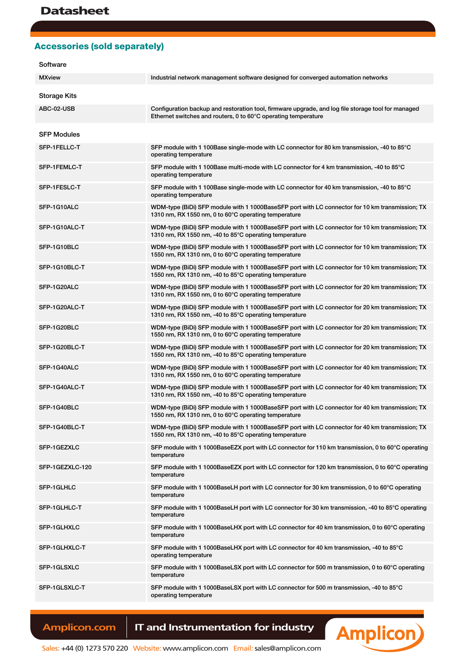## **Accessories (sold separately)**

#### Software

| <b>MXview</b>       | Industrial network management software designed for converged automation networks                                                                                    |
|---------------------|----------------------------------------------------------------------------------------------------------------------------------------------------------------------|
| <b>Storage Kits</b> |                                                                                                                                                                      |
| ABC-02-USB          | Configuration backup and restoration tool, firmware upgrade, and log file storage tool for managed<br>Ethernet switches and routers, 0 to 60°C operating temperature |
| <b>SFP Modules</b>  |                                                                                                                                                                      |
| SFP-1FELLC-T        | SFP module with 1 100Base single-mode with LC connector for 80 km transmission, -40 to 85°C<br>operating temperature                                                 |
| SFP-1FEMLC-T        | SFP module with 1 100Base multi-mode with LC connector for 4 km transmission, -40 to 85°C<br>operating temperature                                                   |
| SFP-1FESLC-T        | SFP module with 1 100Base single-mode with LC connector for 40 km transmission, -40 to 85°C<br>operating temperature                                                 |
| SFP-1G10ALC         | WDM-type (BiDi) SFP module with 1 1000BaseSFP port with LC connector for 10 km transmission; TX<br>1310 nm, RX 1550 nm, 0 to 60°C operating temperature              |
| SFP-1G10ALC-T       | WDM-type (BiDi) SFP module with 1 1000BaseSFP port with LC connector for 10 km transmission; TX<br>1310 nm, RX 1550 nm, -40 to 85°C operating temperature            |
| SFP-1G10BLC         | WDM-type (BiDi) SFP module with 1 1000BaseSFP port with LC connector for 10 km transmission; TX<br>1550 nm, RX 1310 nm, 0 to 60°C operating temperature              |
| SFP-1G10BLC-T       | WDM-type (BiDi) SFP module with 1 1000BaseSFP port with LC connector for 10 km transmission; TX<br>1550 nm, RX 1310 nm, -40 to 85°C operating temperature            |
| SFP-1G20ALC         | WDM-type (BiDi) SFP module with 1 1000BaseSFP port with LC connector for 20 km transmission; TX<br>1310 nm, RX 1550 nm, 0 to 60°C operating temperature              |
| SFP-1G20ALC-T       | WDM-type (BiDi) SFP module with 1 1000BaseSFP port with LC connector for 20 km transmission; TX<br>1310 nm, RX 1550 nm, -40 to 85°C operating temperature            |
| SFP-1G20BLC         | WDM-type (BiDi) SFP module with 1 1000BaseSFP port with LC connector for 20 km transmission; TX<br>1550 nm, RX 1310 nm, 0 to 60°C operating temperature              |
| SFP-1G20BLC-T       | WDM-type (BiDi) SFP module with 1 1000BaseSFP port with LC connector for 20 km transmission; TX<br>1550 nm, RX 1310 nm, -40 to 85°C operating temperature            |
| SFP-1G40ALC         | WDM-type (BiDi) SFP module with 1 1000BaseSFP port with LC connector for 40 km transmission; TX<br>1310 nm, RX 1550 nm, 0 to 60°C operating temperature              |
| SFP-1G40ALC-T       | WDM-type (BiDi) SFP module with 1 1000BaseSFP port with LC connector for 40 km transmission; TX<br>1310 nm, RX 1550 nm, -40 to 85°C operating temperature            |
| SFP-1G40BLC         | WDM-type (BiDi) SFP module with 1 1000BaseSFP port with LC connector for 40 km transmission; TX<br>1550 nm, RX 1310 nm, 0 to 60°C operating temperature              |
| SFP-1G40BLC-T       | WDM-type (BiDi) SFP module with 1 1000BaseSFP port with LC connector for 40 km transmission; TX<br>1550 nm, RX 1310 nm, -40 to 85°C operating temperature            |
| SFP-1GEZXLC         | SFP module with 1 1000BaseEZX port with LC connector for 110 km transmission, 0 to 60°C operating<br>temperature                                                     |
| SFP-1GEZXLC-120     | SFP module with 1 1000BaseEZX port with LC connector for 120 km transmission, 0 to 60°C operating<br>temperature                                                     |
| SFP-1GLHLC          | SFP module with 1 1000BaseLH port with LC connector for 30 km transmission, 0 to 60°C operating<br>temperature                                                       |
| SFP-1GLHLC-T        | SFP module with 1 1000BaseLH port with LC connector for 30 km transmission, -40 to 85 $\degree$ C operating<br>temperature                                           |
| SFP-1GLHXLC         | SFP module with 1 1000BaseLHX port with LC connector for 40 km transmission, 0 to 60°C operating<br>temperature                                                      |
| SFP-1GLHXLC-T       | SFP module with 1 1000BaseLHX port with LC connector for 40 km transmission, -40 to 85°C<br>operating temperature                                                    |
| SFP-1GLSXLC         | SFP module with 1 1000BaseLSX port with LC connector for 500 m transmission, 0 to 60 $\degree$ C operating<br>temperature                                            |
| SFP-1GLSXLC-T       | SFP module with 1 1000BaseLSX port with LC connector for 500 m transmission, -40 to 85°C<br>operating temperature                                                    |

Amplicon.com | IT and Instrumentation for industry